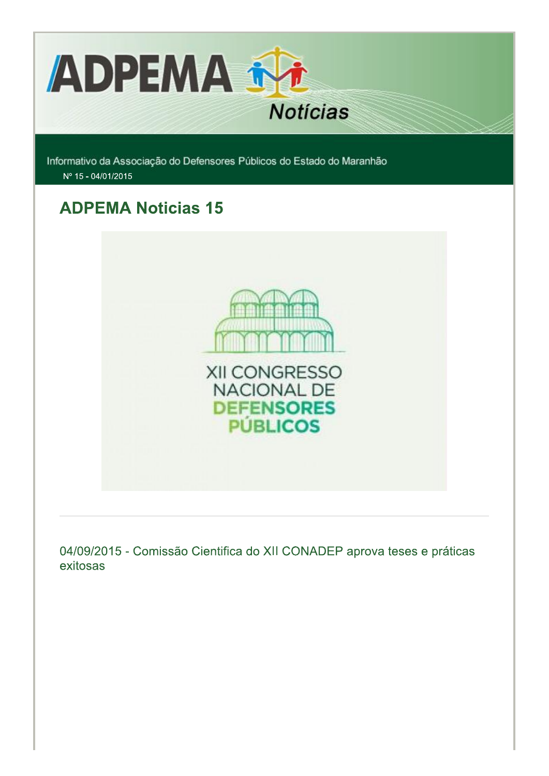

Informativo da Associação do Defensores Públicos do Estado do Maranhão Nº 15 - 04/01/2015

# **ADPEMA Noticias 15**



04/09/2015 - Comissão Cientifica do XII CONADEP aprova teses e práticas exitosas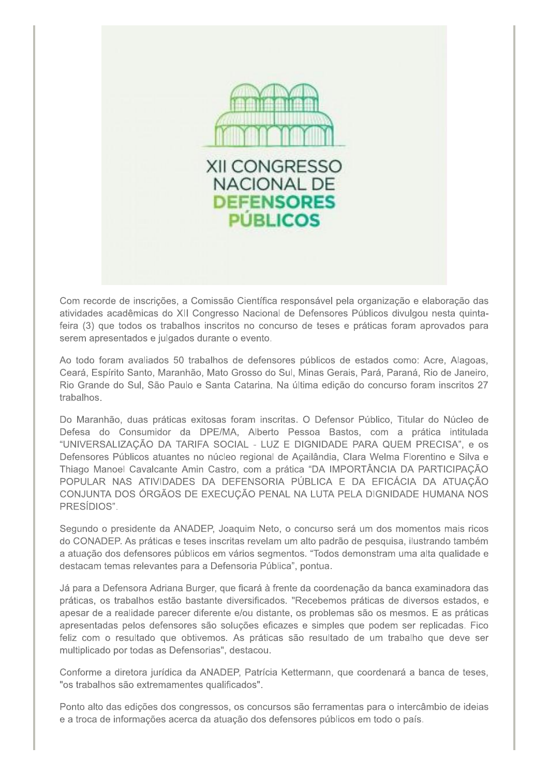

Com recorde de inscrições, a Comissão Científica responsável pela organização e elaboração das atividades acadêmicas do XII Congresso Nacional de Defensores Públicos divulgou nesta quintafeira (3) que todos os trabalhos inscritos no concurso de teses e práticas foram aprovados para serem apresentados e julgados durante o evento.

Ao todo foram avaliados 50 trabalhos de defensores públicos de estados como: Acre, Alagoas, Ceará, Espírito Santo, Maranhão, Mato Grosso do Sul, Minas Gerais, Pará, Paraná, Rio de Janeiro, Rio Grande do Sul, São Paulo e Santa Catarina. Na última edição do concurso foram inscritos 27 trabalhos.

Do Maranhão, duas práticas exitosas foram inscritas. O Defensor Público, Titular do Núcleo de Defesa do Consumidor da DPE/MA, Alberto Pessoa Bastos, com a prática intitulada "UNIVERSALIZAÇÃO DA TARIFA SOCIAL - LUZ E DIGNIDADE PARA QUEM PRECISA", e os Defensores Públicos atuantes no núcleo regional de Açailândia, Clara Welma Florentino e Silva e Thiago Manoel Cavalcante Amin Castro, com a prática "DA IMPORTÂNCIA DA PARTICIPAÇÃO POPULAR NAS ATIVIDADES DA DEFENSORIA PÚBLICA E DA EFICÁCIA DA ATUAÇÃO CONJUNTA DOS ÓRGÃOS DE EXECUÇÃO PENAL NA LUTA PELA DIGNIDADE HUMANA NOS PRESÍDIOS".

Segundo o presidente da ANADEP, Joaquim Neto, o concurso será um dos momentos mais ricos do CONADEP. As práticas e teses inscritas revelam um alto padrão de pesquisa, ilustrando também a atuação dos defensores públicos em vários segmentos. "Todos demonstram uma alta qualidade e destacam temas relevantes para a Defensoria Pública", pontua.

Já para a Defensora Adriana Burger, que ficará à frente da coordenação da banca examinadora das práticas, os trabalhos estão bastante diversificados. "Recebemos práticas de diversos estados, e apesar de a realidade parecer diferente e/ou distante, os problemas são os mesmos. E as práticas apresentadas pelos defensores são soluções eficazes e simples que podem ser replicadas. Fico feliz com o resultado que obtivemos. As práticas são resultado de um trabalho que deve ser multiplicado por todas as Defensorias", destacou.

Conforme a diretora jurídica da ANADEP, Patrícia Kettermann, que coordenará a banca de teses, "os trabalhos são extremamentes qualificados".

Ponto alto das edições dos congressos, os concursos são ferramentas para o intercâmbio de ideias e a troca de informações acerca da atuação dos defensores públicos em todo o país.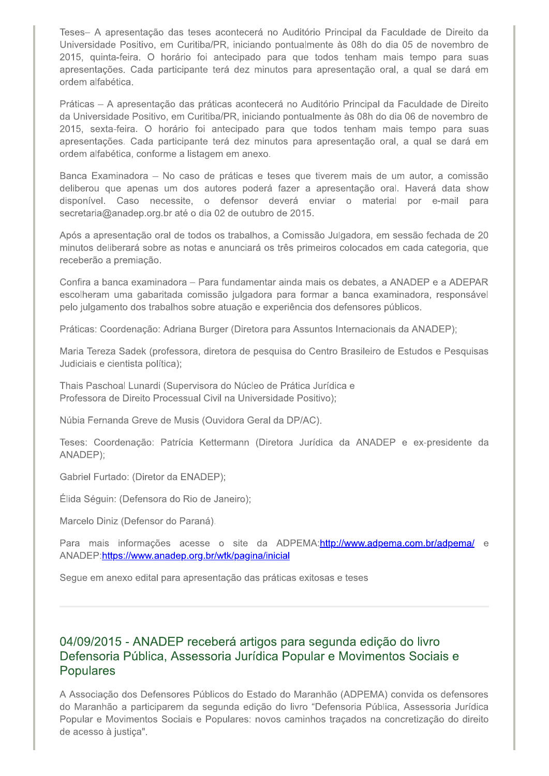Teses- A apresentação das teses acontecerá no Auditório Principal da Faculdade de Direito da Universidade Positivo, em Curitiba/PR, iniciando pontualmente às 08h do dia 05 de novembro de 2015, quinta-feira. O horário foi antecipado para que todos tenham mais tempo para suas apresentações. Cada participante terá dez minutos para apresentação oral, a qual se dará em ordem alfabética.

Práticas - A apresentação das práticas acontecerá no Auditório Principal da Faculdade de Direito da Universidade Positivo, em Curitiba/PR, iniciando pontualmente às 08h do dia 06 de novembro de 2015, sexta-feira. O horário foi antecipado para que todos tenham mais tempo para suas apresentações. Cada participante terá dez minutos para apresentação oral, a qual se dará em ordem alfabética, conforme a listagem em anexo.

Banca Examinadora - No caso de práticas e teses que tiverem mais de um autor, a comissão deliberou que apenas um dos autores poderá fazer a apresentação oral. Haverá data show disponível. Caso necessite, o defensor deverá enviar o material por e-mail para secretaria@anadep.org.br até o dia 02 de outubro de 2015.

Após a apresentação oral de todos os trabalhos, a Comissão Julgadora, em sessão fechada de 20 minutos deliberará sobre as notas e anunciará os três primeiros colocados em cada categoria, que receberão a premiação.

Confira a banca examinadora – Para fundamentar ainda mais os debates, a ANADEP e a ADEPAR escolheram uma gabaritada comissão julgadora para formar a banca examinadora, responsável pelo julgamento dos trabalhos sobre atuação e experiência dos defensores públicos.

Práticas: Coordenação: Adriana Burger (Diretora para Assuntos Internacionais da ANADEP);

Maria Tereza Sadek (professora, diretora de pesquisa do Centro Brasileiro de Estudos e Pesquisas Judiciais e cientista política);

Thais Paschoal Lunardi (Supervisora do Núcleo de Prática Jurídica e Professora de Direito Processual Civil na Universidade Positivo);

Núbia Fernanda Greve de Musis (Ouvidora Geral da DP/AC).

Teses: Coordenação: Patrícia Kettermann (Diretora Jurídica da ANADEP e ex-presidente da ANADEP);

Gabriel Furtado: (Diretor da ENADEP);

Élida Séguin: (Defensora do Rio de Janeiro);

Marcelo Diniz (Defensor do Paraná).

Para mais informações acesse o site da ADPEMA:http://www.adpema.com.br/adpema/ e ANADEP:https://www.anadep.org.br/wtk/pagina/inicial

Segue em anexo edital para apresentação das práticas exitosas e teses

#### 04/09/2015 - ANADEP receberá artigos para segunda edição do livro Defensoria Pública, Assessoria Jurídica Popular e Movimentos Sociais e **Populares**

A Associação dos Defensores Públicos do Estado do Maranhão (ADPEMA) convida os defensores do Maranhão a participarem da segunda edição do livro "Defensoria Pública, Assessoria Jurídica Popular e Movimentos Sociais e Populares: novos caminhos traçados na concretização do direito de acesso à justiça".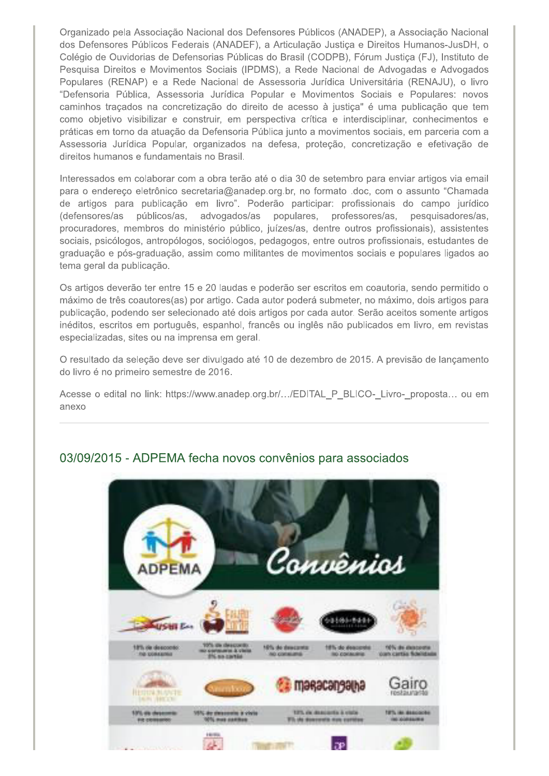Organizado pela Associação Nacional dos Defensores Públicos (ANADEP), a Associação Nacional dos Defensores Públicos Federais (ANADEF), a Articulação Justiça e Direitos Humanos-JusDH, o Colégio de Ouvidorias de Defensorias Públicas do Brasil (CODPB), Fórum Justiça (FJ), Instituto de Pesquisa Direitos e Movimentos Sociais (IPDMS), a Rede Nacional de Advogadas e Advogados Populares (RENAP) e a Rede Nacional de Assessoria Jurídica Universitária (RENAJU), o livro "Defensoria Pública, Assessoria Jurídica Popular e Movimentos Sociais e Populares: novos caminhos traçados na concretização do direito de acesso à justiça" é uma publicação que tem como objetivo visibilizar e construir, em perspectiva crítica e interdisciplinar, conhecimentos e práticas em torno da atuação da Defensoria Pública junto a movimentos sociais, em parceria com a Assessoria Jurídica Popular, organizados na defesa, proteção, concretização e efetivação de direitos humanos e fundamentais no Brasil.

Interessados em colaborar com a obra terão até o dia 30 de setembro para enviar artigos via email para o endereço eletrônico secretaria@anadep.org.br, no formato .doc, com o assunto "Chamada de artigos para publicação em livro". Poderão participar: profissionais do campo jurídico (defensores/as públicos/as, advogados/as populares, professores/as, pesquisadores/as, procuradores, membros do ministério público, juízes/as, dentre outros profissionais), assistentes sociais, psicólogos, antropólogos, sociólogos, pedagogos, entre outros profissionais, estudantes de graduação e pós-graduação, assim como militantes de movimentos sociais e populares ligados ao tema geral da publicação.

Os artigos deverão ter entre 15 e 20 laudas e poderão ser escritos em coautoria, sendo permitido o máximo de três coautores(as) por artigo. Cada autor poderá submeter, no máximo, dois artigos para publicação, podendo ser selecionado até dois artigos por cada autor. Serão aceitos somente artigos inéditos, escritos em português, espanhol, francês ou inglês não publicados em livro, em revistas especializadas, sites ou na imprensa em geral.

O resultado da seleção deve ser divulgado até 10 de dezembro de 2015. A previsão de lançamento do livro é no primeiro semestre de 2016.

Acesse o edital no link: https://www.anadep.org.br/.../EDITAL P BLICO- Livro- proposta... ou em anexo



# 03/09/2015 - ADPEMA fecha novos convênios para associados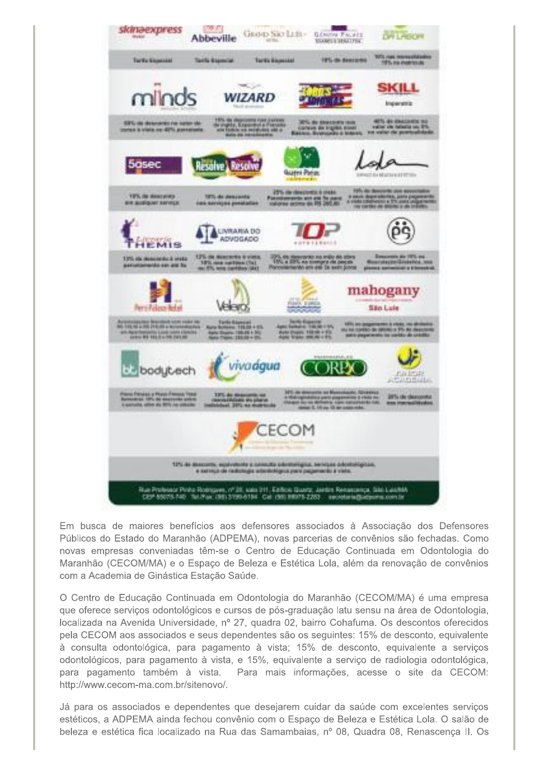

Em busca de maiores benefícios aos defensores associados à Associação dos Defensores Públicos do Estado do Maranhão (ADPEMA), novas parcerias de convênios são fechadas. Como novas empresas conveniadas têm-se o Centro de Educação Continuada em Odontologia do Maranhão (CECOM/MA) e o Espaço de Beleza e Estética Lola, além da renovação de convênios com a Academia de Ginástica Estação Saúde.

O Centro de Educação Continuada em Odontologia do Maranhão (CECOM/MA) é uma empresa que oferece serviços odontológicos e cursos de pós-graduação latu sensu na área de Odontologia, localizada na Avenida Universidade, nº 27, quadra 02, bairro Cohafuma. Os descontos oferecidos pela CECOM aos associados e seus dependentes são os seguintes: 15% de desconto, equivalente à consulta odontológica, para pagamento à vista; 15% de desconto, equivalente a serviços odontológicos, para pagamento à vista, e 15%, equivalente a serviço de radiologia odontológica, para pagamento também à vista. Para mais informações, acesse o site da CECOM: http://www.cecom-ma.com.br/sitenovo/.

Já para os associados e dependentes que desejarem cuidar da saúde com excelentes serviços estéticos, a ADPEMA ainda fechou convênio com o Espaço de Beleza e Estética Lola. O salão de beleza e estética fica localizado na Rua das Samambaias, nº 08, Quadra 08, Renascença II. Os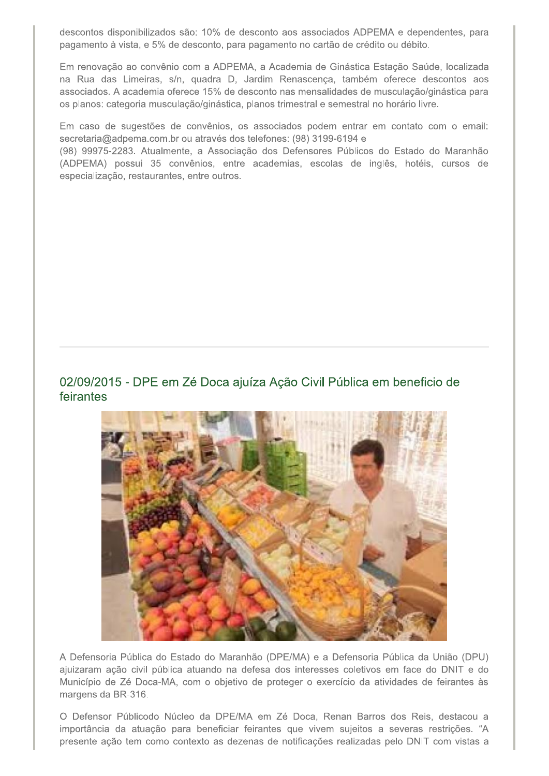descontos disponibilizados são: 10% de desconto aos associados ADPEMA e dependentes, para pagamento à vista, e 5% de desconto, para pagamento no cartão de crédito ou débito.

Em renovação ao convênio com a ADPEMA, a Academia de Ginástica Estação Saúde, localizada na Rua das Limeiras, s/n, quadra D, Jardim Renascença, também oferece descontos aos associados. A academia oferece 15% de desconto nas mensalidades de musculação/ginástica para os planos: categoria musculação/ginástica, planos trimestral e semestral no horário livre.

Em caso de sugestões de convênios, os associados podem entrar em contato com o email: secretaria@adpema.com.br ou através dos telefones: (98) 3199-6194 e

(98) 99975-2283. Atualmente, a Associação dos Defensores Públicos do Estado do Maranhão (ADPEMA) possui 35 convênios, entre academias, escolas de inglês, hotéis, cursos de especialização, restaurantes, entre outros.

#### 02/09/2015 - DPE em Zé Doca ajuíza Ação Civil Pública em beneficio de feirantes



A Defensoria Pública do Estado do Maranhão (DPE/MA) e a Defensoria Pública da União (DPU) ajuizaram ação civil pública atuando na defesa dos interesses coletivos em face do DNIT e do Município de Zé Doca-MA, com o objetivo de proteger o exercício da atividades de feirantes às margens da BR-316.

O Defensor Públicodo Núcleo da DPE/MA em Zé Doca, Renan Barros dos Reis, destacou a importância da atuação para beneficiar feirantes que vivem sujeitos a severas restrições. "A presente ação tem como contexto as dezenas de notificações realizadas pelo DNIT com vistas a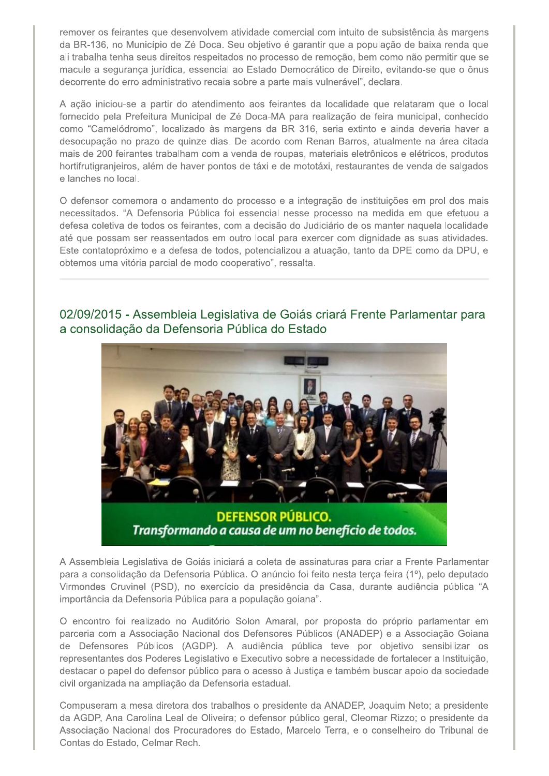remover os feirantes que desenvolvem atividade comercial com intuito de subsistência às margens da BR-136, no Município de Zé Doca. Seu objetivo é garantir que a população de baixa renda que ali trabalha tenha seus direitos respeitados no processo de remoção, bem como não permitir que se macule a segurança jurídica, essencial ao Estado Democrático de Direito, evitando-se que o ônus decorrente do erro administrativo recaia sobre a parte mais vulnerável", declara.

A ação iniciou-se a partir do atendimento aos feirantes da localidade que relataram que o local fornecido pela Prefeitura Municipal de Zé Doca-MA para realização de feira municipal, conhecido como "Camelódromo", localizado às margens da BR 316, seria extinto e ainda deveria haver a desocupação no prazo de quinze dias. De acordo com Renan Barros, atualmente na área citada mais de 200 feirantes trabalham com a venda de roupas, materiais eletrônicos e elétricos, produtos hortifrutigranjeiros, além de haver pontos de táxi e de mototáxi, restaurantes de venda de salgados e lanches no local.

O defensor comemora o andamento do processo e a integração de instituições em prol dos mais necessitados. "A Defensoria Pública foi essencial nesse processo na medida em que efetuou a defesa coletiva de todos os feirantes, com a decisão do Judiciário de os manter naquela localidade até que possam ser reassentados em outro local para exercer com dignidade as suas atividades. Este contatopróximo e a defesa de todos, potencializou a atuação, tanto da DPE como da DPU, e obtemos uma vitória parcial de modo cooperativo", ressalta.

### 02/09/2015 - Assembleia Legislativa de Goiás criará Frente Parlamentar para a consolidação da Defensoria Pública do Estado



Transformando a causa de um no benefício de todos.

A Assembleia Legislativa de Goiás iniciará a coleta de assinaturas para criar a Frente Parlamentar para a consolidação da Defensoria Pública. O anúncio foi feito nesta terça-feira (1º), pelo deputado Virmondes Cruvinel (PSD), no exercício da presidência da Casa, durante audiência pública "A importância da Defensoria Pública para a população goiana".

O encontro foi realizado no Auditório Solon Amaral, por proposta do próprio parlamentar em parceria com a Associação Nacional dos Defensores Públicos (ANADEP) e a Associação Goiana de Defensores Públicos (AGDP). A audiência pública teve por objetivo sensibilizar os representantes dos Poderes Legislativo e Executivo sobre a necessidade de fortalecer a Instituição, destacar o papel do defensor público para o acesso à Justica e também buscar apoio da sociedade civil organizada na ampliação da Defensoria estadual.

Compuseram a mesa diretora dos trabalhos o presidente da ANADEP, Joaquim Neto; a presidente da AGDP, Ana Carolina Leal de Oliveira; o defensor público geral, Cleomar Rizzo; o presidente da Associação Nacional dos Procuradores do Estado, Marcelo Terra, e o conselheiro do Tribunal de Contas do Estado, Celmar Rech.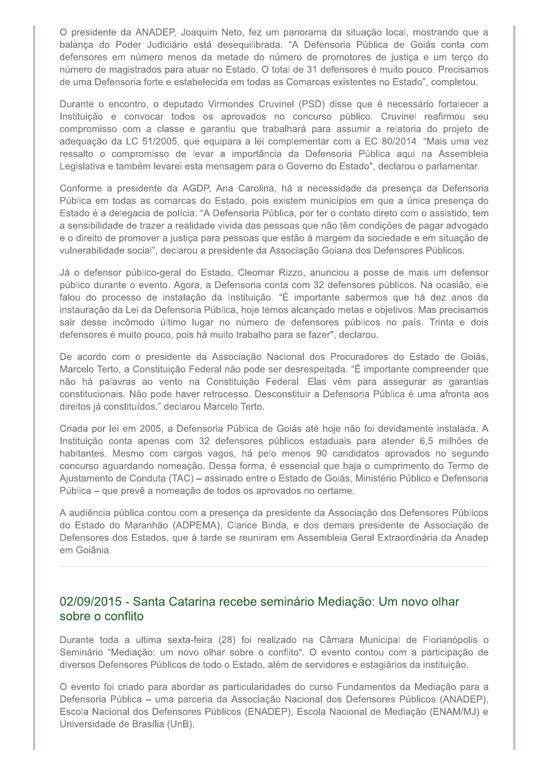O presidente da ANADEP, Joaquim Neto, fez um panorama da situação local, mostrando que a balança do Poder Judiciário está desequilibrada. "A Defensoria Pública de Goiás conta com defensores em número menos da metade do número de promotores de justiça e um terço do número de magistrados para atuar no Estado. O total de 31 defensores é muito pouco. Precisamos de uma Defensoria forte e estabelecida em todas as Comarcas existentes no Estado", completou.

Durante o encontro, o deputado Virmondes Cruvinel (PSD) disse que é necessário fortalecer a Instituição e convocar todos os aprovados no concurso público. Cruvinel reafirmou seu compromisso com a classe e garantiu que trabalhará para assumir a relatoria do projeto de adequação da LC 51/2005, que equipara a lei complementar com a EC 80/2014. "Mais uma vez ressalto o compromisso de levar a importância da Defensoria Pública aqui na Assembleia Legislativa e também levarei esta mensagem para o Governo do Estado", declarou o parlamentar.

Conforme a presidente da AGDP, Ana Carolina, há a necessidade da presenca da Defensoria Pública em todas as comarcas do Estado, pois existem municípios em que a única presença do Estado é a delegacia de polícia. "A Defensoria Pública, por ter o contato direto com o assistido, tem a sensibilidade de trazer a realidade vivida das pessoas que não têm condições de pagar advogado e o direito de promover a justiça para pessoas que estão à margem da sociedade e em situação de vulnerabilidade social", declarou a presidente da Associação Goiana dos Defensores Públicos.

Já o defensor público-geral do Estado, Cleomar Rizzo, anunciou a posse de mais um defensor público durante o evento. Agora, a Defensoria conta com 32 defensores públicos. Na ocasião, ele falou do processo de instalação da Instituição. "É importante sabermos que há dez anos da instauração da Lei da Defensoria Pública, hoje temos alcancado metas e objetivos. Mas precisamos sair desse incômodo último lugar no número de defensores públicos no país. Trinta e dois defensores é muito pouco, pois há muito trabalho para se fazer", declarou.

De acordo com o presidente da Associação Nacional dos Procuradores do Estado de Goiás, Marcelo Terto, a Constituição Federal não pode ser desrespeitada. "É importante compreender que não há palavras ao vento na Constituição Federal. Elas vêm para assegurar as garantias constitucionais. Não pode haver retrocesso. Desconstituir a Defensoria Pública é uma afronta aos direitos já constituídos," declarou Marcelo Terto.

Criada por lei em 2005, a Defensoria Pública de Goiás até hoje não foi devidamente instalada. A Instituição conta apenas com 32 defensores públicos estaduais para atender 6,5 milhões de habitantes. Mesmo com cargos vagos, há pelo menos 90 candidatos aprovados no segundo concurso aguardando nomeação. Dessa forma, é essencial que haja o cumprimento do Termo de Ajustamento de Conduta (TAC) – assinado entre o Estado de Goiás, Ministério Público e Defensoria Pública - que prevê a nomeação de todos os aprovados no certame.

A audiência pública contou com a presença da presidente da Associação dos Defensores Públicos do Estado do Maranhão (ADPEMA), Clarice Binda, e dos demais presidente de Associação de Defensores dos Estados, que à tarde se reuniram em Assembleia Geral Extraordinária da Anadep em Goiânia.

#### 02/09/2015 - Santa Catarina recebe seminário Mediação: Um novo olhar sobre o conflito

Durante toda a ultima sexta-feira (28) foi realizado na Câmara Municipal de Florianópolis o Seminário "Mediação: um novo olhar sobre o conflito". O evento contou com a participação de diversos Defensores Públicos de todo o Estado, além de servidores e estagiários da instituição.

O evento foi criado para abordar as particularidades do curso Fundamentos da Mediação para a Defensoria Pública – uma parceria da Associação Nacional dos Defensores Públicos (ANADEP), Escola Nacional dos Defensores Públicos (ENADEP), Escola Nacional de Mediação (ENAM/MJ) e Universidade de Brasília (UnB).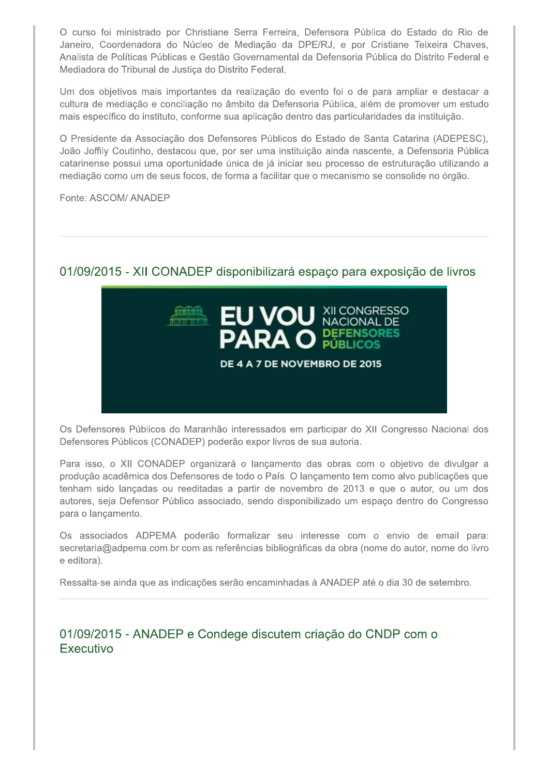O curso foi ministrado por Christiane Serra Ferreira, Defensora Pública do Estado do Rio de Janeiro, Coordenadora do Núcleo de Mediação da DPE/RJ, e por Cristiane Teixeira Chaves, Analista de Políticas Públicas e Gestão Governamental da Defensoria Pública do Distrito Federal e Mediadora do Tribunal de Justica do Distrito Federal.

Um dos objetivos mais importantes da realização do evento foi o de para ampliar e destacar a cultura de mediação e conciliação no âmbito da Defensoria Pública, além de promover um estudo mais específico do instituto, conforme sua aplicação dentro das particularidades da instituição.

O Presidente da Associação dos Defensores Públicos do Estado de Santa Catarina (ADEPESC), João Joffily Coutinho, destacou que, por ser uma instituição ainda nascente, a Defensoria Pública catarinense possui uma oportunidade única de já iniciar seu processo de estruturação utilizando a mediação como um de seus focos, de forma a facilitar que o mecanismo se consolide no órgão.

Fonte: ASCOM/ ANADEP

# 01/09/2015 - XII CONADEP disponibilizará espaço para exposição de livros



Os Defensores Públicos do Maranhão interessados em participar do XII Congresso Nacional dos Defensores Públicos (CONADEP) poderão expor livros de sua autoria.

Para isso, o XII CONADEP organizará o lançamento das obras com o objetivo de divulgar a produção acadêmica dos Defensores de todo o País. O lançamento tem como alvo publicações que tenham sido lançadas ou reeditadas a partir de novembro de 2013 e que o autor, ou um dos autores, seja Defensor Público associado, sendo disponibilizado um espaço dentro do Congresso para o lançamento.

Os associados ADPEMA poderão formalizar seu interesse com o envio de email para: secretaria@adpema.com.br com as referências bibliográficas da obra (nome do autor, nome do livro e editora).

Ressalta-se ainda que as indicações serão encaminhadas à ANADEP até o dia 30 de setembro.

# 01/09/2015 - ANADEP e Condege discutem criação do CNDP com o Executivo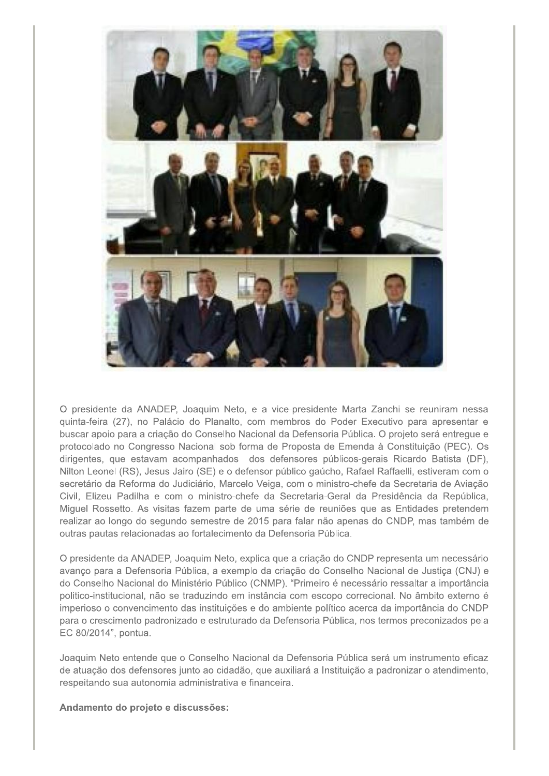

O presidente da ANADEP, Joaquim Neto, e a vice-presidente Marta Zanchi se reuniram nessa quinta-feira (27), no Palácio do Planalto, com membros do Poder Executivo para apresentar e buscar apoio para a criação do Conselho Nacional da Defensoria Pública. O projeto será entregue e protocolado no Congresso Nacional sob forma de Proposta de Emenda à Constituição (PEC). Os dirigentes, que estavam acompanhados dos defensores públicos-gerais Ricardo Batista (DF), Nilton Leonel (RS), Jesus Jairo (SE) e o defensor público gaúcho, Rafael Raffaelli, estiveram com o secretário da Reforma do Judiciário, Marcelo Veiga, com o ministro-chefe da Secretaria de Aviação Civil, Elizeu Padilha e com o ministro-chefe da Secretaria-Geral da Presidência da República, Miguel Rossetto. As visitas fazem parte de uma série de reuniões que as Entidades pretendem realizar ao longo do segundo semestre de 2015 para falar não apenas do CNDP, mas também de outras pautas relacionadas ao fortalecimento da Defensoria Pública.

O presidente da ANADEP, Joaquim Neto, explica que a criação do CNDP representa um necessário avanço para a Defensoria Pública, a exemplo da criação do Conselho Nacional de Justica (CNJ) e do Conselho Nacional do Ministério Público (CNMP). "Primeiro é necessário ressaltar a importância politico-institucional, não se traduzindo em instância com escopo correcional. No âmbito externo é imperioso o convencimento das instituições e do ambiente político acerca da importância do CNDP para o crescimento padronizado e estruturado da Defensoria Pública, nos termos preconizados pela EC 80/2014", pontua.

Joaquim Neto entende que o Conselho Nacional da Defensoria Pública será um instrumento eficaz de atuação dos defensores junto ao cidadão, que auxiliará a Instituição a padronizar o atendimento, respeitando sua autonomia administrativa e financeira.

#### Andamento do projeto e discussões: